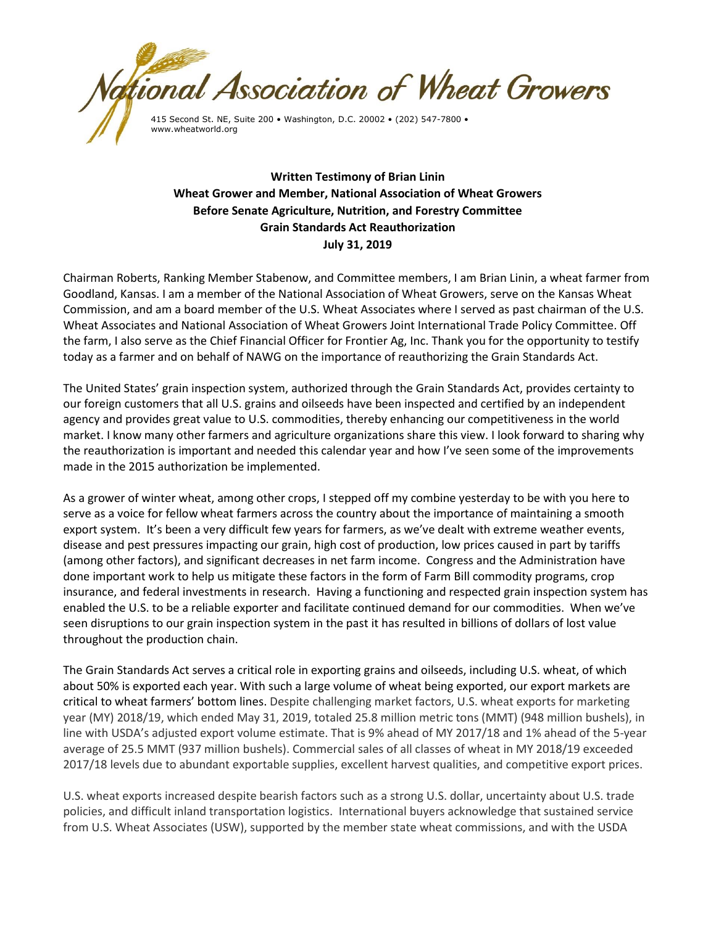

**Written Testimony of Brian Linin Wheat Grower and Member, National Association of Wheat Growers Before Senate Agriculture, Nutrition, and Forestry Committee Grain Standards Act Reauthorization July 31, 2019**

Chairman Roberts, Ranking Member Stabenow, and Committee members, I am Brian Linin, a wheat farmer from Goodland, Kansas. I am a member of the National Association of Wheat Growers, serve on the Kansas Wheat Commission, and am a board member of the U.S. Wheat Associates where I served as past chairman of the U.S. Wheat Associates and National Association of Wheat Growers Joint International Trade Policy Committee. Off the farm, I also serve as the Chief Financial Officer for Frontier Ag, Inc. Thank you for the opportunity to testify today as a farmer and on behalf of NAWG on the importance of reauthorizing the Grain Standards Act.

The United States' grain inspection system, authorized through the Grain Standards Act, provides certainty to our foreign customers that all U.S. grains and oilseeds have been inspected and certified by an independent agency and provides great value to U.S. commodities, thereby enhancing our competitiveness in the world market. I know many other farmers and agriculture organizations share this view. I look forward to sharing why the reauthorization is important and needed this calendar year and how I've seen some of the improvements made in the 2015 authorization be implemented.

As a grower of winter wheat, among other crops, I stepped off my combine yesterday to be with you here to serve as a voice for fellow wheat farmers across the country about the importance of maintaining a smooth export system. It's been a very difficult few years for farmers, as we've dealt with extreme weather events, disease and pest pressures impacting our grain, high cost of production, low prices caused in part by tariffs (among other factors), and significant decreases in net farm income. Congress and the Administration have done important work to help us mitigate these factors in the form of Farm Bill commodity programs, crop insurance, and federal investments in research. Having a functioning and respected grain inspection system has enabled the U.S. to be a reliable exporter and facilitate continued demand for our commodities. When we've seen disruptions to our grain inspection system in the past it has resulted in billions of dollars of lost value throughout the production chain.

The Grain Standards Act serves a critical role in exporting grains and oilseeds, including U.S. wheat, of which about 50% is exported each year. With such a large volume of wheat being exported, our export markets are critical to wheat farmers' bottom lines. Despite challenging market factors, U.S. wheat exports for marketing year (MY) 2018/19, which ended May 31, 2019, totaled 25.8 million metric tons (MMT) (948 million bushels), in line with USDA's adjusted export volume estimate. That is 9% ahead of MY 2017/18 and 1% ahead of the 5-year average of 25.5 MMT (937 million bushels). Commercial sales of all classes of wheat in MY 2018/19 exceeded 2017/18 levels due to abundant exportable supplies, excellent harvest qualities, and competitive export prices.

U.S. wheat exports increased despite bearish factors such as a strong U.S. dollar, uncertainty about U.S. trade policies, and difficult inland transportation logistics. International buyers acknowledge that sustained service from U.S. Wheat Associates (USW), supported by the member state wheat commissions, and with the USDA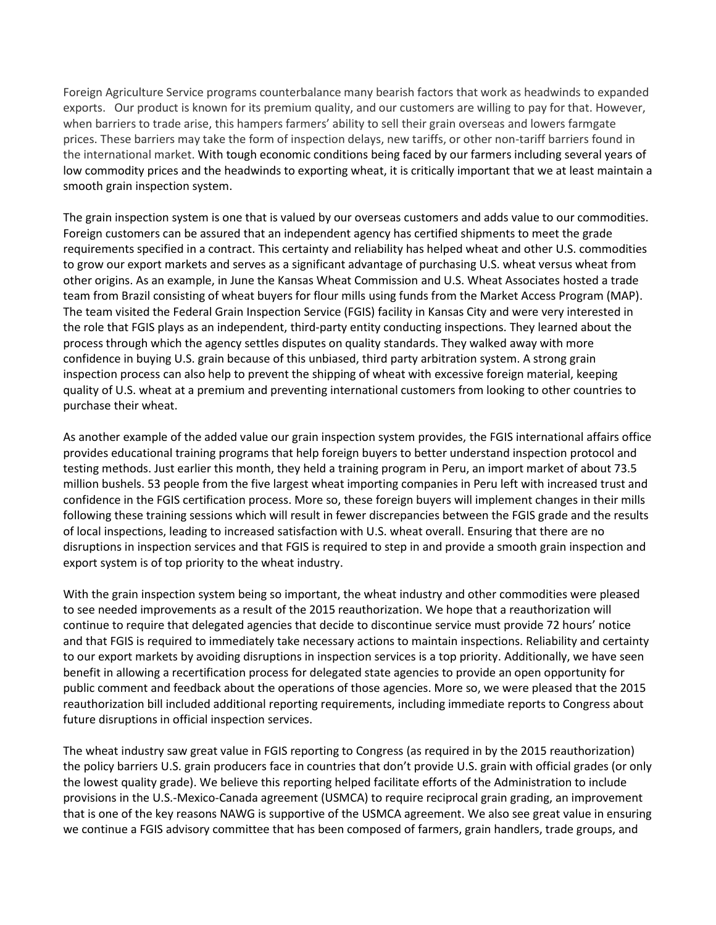Foreign Agriculture Service programs counterbalance many bearish factors that work as headwinds to expanded exports. Our product is known for its premium quality, and our customers are willing to pay for that. However, when barriers to trade arise, this hampers farmers' ability to sell their grain overseas and lowers farmgate prices. These barriers may take the form of inspection delays, new tariffs, or other non-tariff barriers found in the international market. With tough economic conditions being faced by our farmers including several years of low commodity prices and the headwinds to exporting wheat, it is critically important that we at least maintain a smooth grain inspection system.

The grain inspection system is one that is valued by our overseas customers and adds value to our commodities. Foreign customers can be assured that an independent agency has certified shipments to meet the grade requirements specified in a contract. This certainty and reliability has helped wheat and other U.S. commodities to grow our export markets and serves as a significant advantage of purchasing U.S. wheat versus wheat from other origins. As an example, in June the Kansas Wheat Commission and U.S. Wheat Associates hosted a trade team from Brazil consisting of wheat buyers for flour mills using funds from the Market Access Program (MAP). The team visited the Federal Grain Inspection Service (FGIS) facility in Kansas City and were very interested in the role that FGIS plays as an independent, third-party entity conducting inspections. They learned about the process through which the agency settles disputes on quality standards. They walked away with more confidence in buying U.S. grain because of this unbiased, third party arbitration system. A strong grain inspection process can also help to prevent the shipping of wheat with excessive foreign material, keeping quality of U.S. wheat at a premium and preventing international customers from looking to other countries to purchase their wheat.

As another example of the added value our grain inspection system provides, the FGIS international affairs office provides educational training programs that help foreign buyers to better understand inspection protocol and testing methods. Just earlier this month, they held a training program in Peru, an import market of about 73.5 million bushels. 53 people from the five largest wheat importing companies in Peru left with increased trust and confidence in the FGIS certification process. More so, these foreign buyers will implement changes in their mills following these training sessions which will result in fewer discrepancies between the FGIS grade and the results of local inspections, leading to increased satisfaction with U.S. wheat overall. Ensuring that there are no disruptions in inspection services and that FGIS is required to step in and provide a smooth grain inspection and export system is of top priority to the wheat industry.

With the grain inspection system being so important, the wheat industry and other commodities were pleased to see needed improvements as a result of the 2015 reauthorization. We hope that a reauthorization will continue to require that delegated agencies that decide to discontinue service must provide 72 hours' notice and that FGIS is required to immediately take necessary actions to maintain inspections. Reliability and certainty to our export markets by avoiding disruptions in inspection services is a top priority. Additionally, we have seen benefit in allowing a recertification process for delegated state agencies to provide an open opportunity for public comment and feedback about the operations of those agencies. More so, we were pleased that the 2015 reauthorization bill included additional reporting requirements, including immediate reports to Congress about future disruptions in official inspection services.

The wheat industry saw great value in FGIS reporting to Congress (as required in by the 2015 reauthorization) the policy barriers U.S. grain producers face in countries that don't provide U.S. grain with official grades (or only the lowest quality grade). We believe this reporting helped facilitate efforts of the Administration to include provisions in the U.S.-Mexico-Canada agreement (USMCA) to require reciprocal grain grading, an improvement that is one of the key reasons NAWG is supportive of the USMCA agreement. We also see great value in ensuring we continue a FGIS advisory committee that has been composed of farmers, grain handlers, trade groups, and